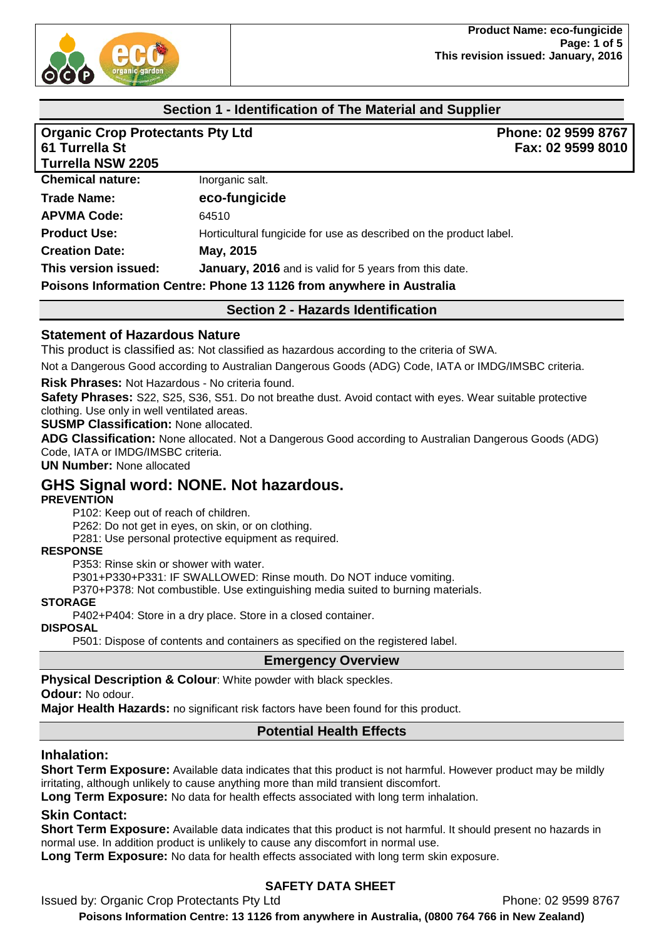

## **Section 1 - Identification of The Material and Supplier**

| <b>Organic Crop Protectants Pty Ltd</b><br>61 Turrella St |                                                                      | Phone: 02 9599 8767<br>Fax: 02 9599 8010 |  |
|-----------------------------------------------------------|----------------------------------------------------------------------|------------------------------------------|--|
| <b>Turrella NSW 2205</b>                                  |                                                                      |                                          |  |
| <b>Chemical nature:</b>                                   | Inorganic salt.                                                      |                                          |  |
| <b>Trade Name:</b>                                        | eco-fungicide                                                        |                                          |  |
| <b>APVMA Code:</b>                                        | 64510                                                                |                                          |  |
| <b>Product Use:</b>                                       | Horticultural fungicide for use as described on the product label.   |                                          |  |
| <b>Creation Date:</b>                                     | May, 2015                                                            |                                          |  |
| This version issued:                                      | January, 2016 and is valid for 5 years from this date.               |                                          |  |
|                                                           | Poisons Information Centre: Phone 13 1126 from anywhere in Australia |                                          |  |

**Section 2 - Hazards Identification**

#### **Statement of Hazardous Nature**

This product is classified as: Not classified as hazardous according to the criteria of SWA.

Not a Dangerous Good according to Australian Dangerous Goods (ADG) Code, IATA or IMDG/IMSBC criteria.

**Risk Phrases:** Not Hazardous - No criteria found.

**Safety Phrases:** S22, S25, S36, S51. Do not breathe dust. Avoid contact with eyes. Wear suitable protective clothing. Use only in well ventilated areas.

**SUSMP Classification:** None allocated.

**ADG Classification:** None allocated. Not a Dangerous Good according to Australian Dangerous Goods (ADG) Code, IATA or IMDG/IMSBC criteria.

**UN Number:** None allocated

## **GHS Signal word: NONE. Not hazardous.**

#### **PREVENTION**

P102: Keep out of reach of children.

P262: Do not get in eyes, on skin, or on clothing.

P281: Use personal protective equipment as required.

#### **RESPONSE**

P353: Rinse skin or shower with water.

P301+P330+P331: IF SWALLOWED: Rinse mouth. Do NOT induce vomiting.

P370+P378: Not combustible. Use extinguishing media suited to burning materials.

#### **STORAGE**

P402+P404: Store in a dry place. Store in a closed container.

#### **DISPOSAL**

P501: Dispose of contents and containers as specified on the registered label.

#### **Emergency Overview**

**Physical Description & Colour**: White powder with black speckles.

**Odour:** No odour.

**Major Health Hazards:** no significant risk factors have been found for this product.

# **Potential Health Effects**

## **Inhalation:**

**Short Term Exposure:** Available data indicates that this product is not harmful. However product may be mildly irritating, although unlikely to cause anything more than mild transient discomfort.

**Long Term Exposure:** No data for health effects associated with long term inhalation.

## **Skin Contact:**

**Short Term Exposure:** Available data indicates that this product is not harmful. It should present no hazards in normal use. In addition product is unlikely to cause any discomfort in normal use.

**Long Term Exposure:** No data for health effects associated with long term skin exposure.

## **SAFETY DATA SHEET**

Issued by: Organic Crop Protectants Pty Ltd **Phone: 02 9599 8767** 

**Poisons Information Centre: 13 1126 from anywhere in Australia, (0800 764 766 in New Zealand)**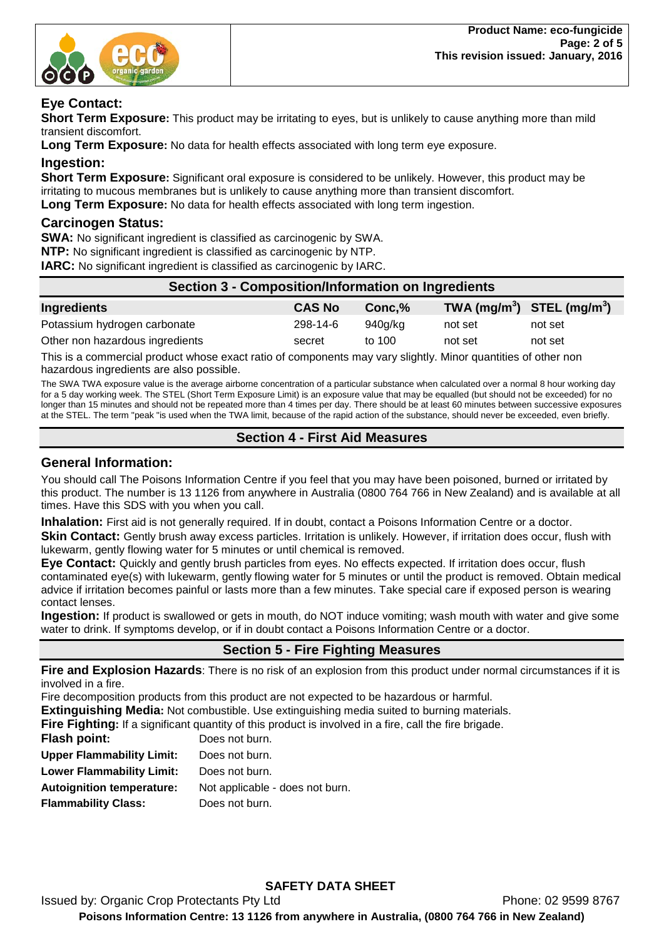

### **Eye Contact:**

**Short Term Exposure:** This product may be irritating to eyes, but is unlikely to cause anything more than mild transient discomfort.

**Long Term Exposure:** No data for health effects associated with long term eye exposure.

#### **Ingestion:**

**Short Term Exposure:** Significant oral exposure is considered to be unlikely. However, this product may be irritating to mucous membranes but is unlikely to cause anything more than transient discomfort. **Long Term Exposure:** No data for health effects associated with long term ingestion.

### **Carcinogen Status:**

**SWA:** No significant ingredient is classified as carcinogenic by SWA.

**NTP:** No significant ingredient is classified as carcinogenic by NTP.

**IARC:** No significant ingredient is classified as carcinogenic by IARC.

| <b>Section 3 - Composition/Information on Ingredients</b> |               |          |                                                    |         |
|-----------------------------------------------------------|---------------|----------|----------------------------------------------------|---------|
| Ingredients                                               | <b>CAS No</b> | Conc.%   | TWA (mg/m <sup>3</sup> ) STEL (mg/m <sup>3</sup> ) |         |
| Potassium hydrogen carbonate                              | 298-14-6      | 940g/kg  | not set                                            | not set |
| Other non hazardous ingredients                           | secret        | to $100$ | not set                                            | not set |

This is a commercial product whose exact ratio of components may vary slightly. Minor quantities of other non hazardous ingredients are also possible.

The SWA TWA exposure value is the average airborne concentration of a particular substance when calculated over a normal 8 hour working day for a 5 day working week. The STEL (Short Term Exposure Limit) is an exposure value that may be equalled (but should not be exceeded) for no longer than 15 minutes and should not be repeated more than 4 times per day. There should be at least 60 minutes between successive exposures at the STEL. The term "peak "is used when the TWA limit, because of the rapid action of the substance, should never be exceeded, even briefly.

## **Section 4 - First Aid Measures**

### **General Information:**

You should call The Poisons Information Centre if you feel that you may have been poisoned, burned or irritated by this product. The number is 13 1126 from anywhere in Australia (0800 764 766 in New Zealand) and is available at all times. Have this SDS with you when you call.

**Inhalation:** First aid is not generally required. If in doubt, contact a Poisons Information Centre or a doctor. **Skin Contact:** Gently brush away excess particles. Irritation is unlikely. However, if irritation does occur, flush with lukewarm, gently flowing water for 5 minutes or until chemical is removed.

**Eye Contact:** Quickly and gently brush particles from eyes. No effects expected. If irritation does occur, flush contaminated eye(s) with lukewarm, gently flowing water for 5 minutes or until the product is removed. Obtain medical advice if irritation becomes painful or lasts more than a few minutes. Take special care if exposed person is wearing contact lenses.

**Ingestion:** If product is swallowed or gets in mouth, do NOT induce vomiting; wash mouth with water and give some water to drink. If symptoms develop, or if in doubt contact a Poisons Information Centre or a doctor.

## **Section 5 - Fire Fighting Measures**

**Fire and Explosion Hazards**: There is no risk of an explosion from this product under normal circumstances if it is involved in a fire.

Fire decomposition products from this product are not expected to be hazardous or harmful.

**Extinguishing Media:** Not combustible. Use extinguishing media suited to burning materials.

**Fire Fighting:** If a significant quantity of this product is involved in a fire, call the fire brigade.

| Flash point:                     | Does not burn.                  |
|----------------------------------|---------------------------------|
| <b>Upper Flammability Limit:</b> | Does not burn.                  |
| <b>Lower Flammability Limit:</b> | Does not burn.                  |
| <b>Autoignition temperature:</b> | Not applicable - does not burn. |
| <b>Flammability Class:</b>       | Does not burn.                  |
|                                  |                                 |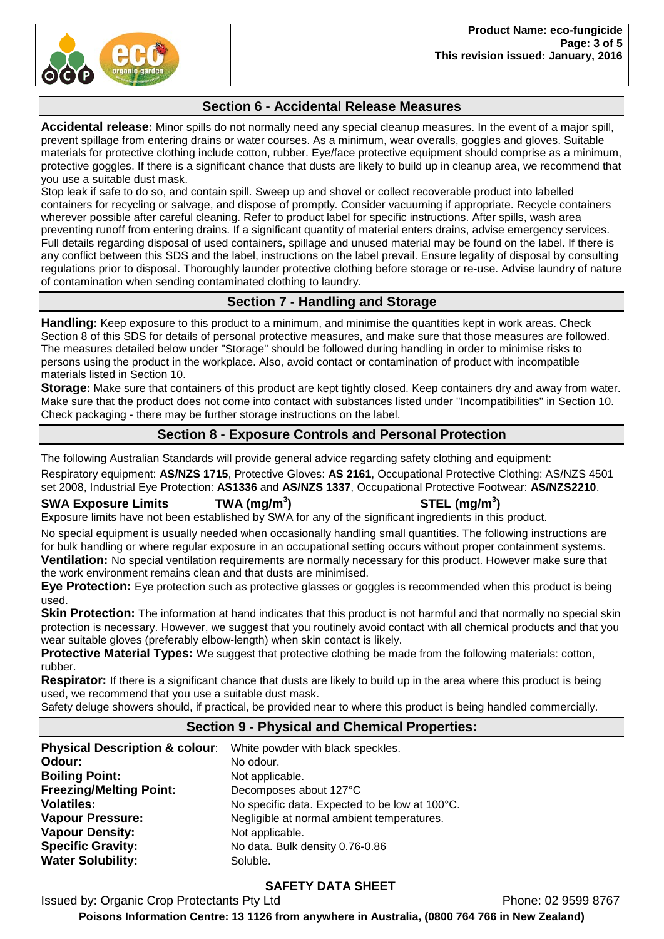

## **Section 6 - Accidental Release Measures**

**Accidental release:** Minor spills do not normally need any special cleanup measures. In the event of a major spill, prevent spillage from entering drains or water courses. As a minimum, wear overalls, goggles and gloves. Suitable materials for protective clothing include cotton, rubber. Eye/face protective equipment should comprise as a minimum, protective goggles. If there is a significant chance that dusts are likely to build up in cleanup area, we recommend that you use a suitable dust mask.

Stop leak if safe to do so, and contain spill. Sweep up and shovel or collect recoverable product into labelled containers for recycling or salvage, and dispose of promptly. Consider vacuuming if appropriate. Recycle containers wherever possible after careful cleaning. Refer to product label for specific instructions. After spills, wash area preventing runoff from entering drains. If a significant quantity of material enters drains, advise emergency services. Full details regarding disposal of used containers, spillage and unused material may be found on the label. If there is any conflict between this SDS and the label, instructions on the label prevail. Ensure legality of disposal by consulting regulations prior to disposal. Thoroughly launder protective clothing before storage or re-use. Advise laundry of nature of contamination when sending contaminated clothing to laundry.

## **Section 7 - Handling and Storage**

**Handling:** Keep exposure to this product to a minimum, and minimise the quantities kept in work areas. Check Section 8 of this SDS for details of personal protective measures, and make sure that those measures are followed. The measures detailed below under "Storage" should be followed during handling in order to minimise risks to persons using the product in the workplace. Also, avoid contact or contamination of product with incompatible materials listed in Section 10.

**Storage:** Make sure that containers of this product are kept tightly closed. Keep containers dry and away from water. Make sure that the product does not come into contact with substances listed under "Incompatibilities" in Section 10. Check packaging - there may be further storage instructions on the label.

## **Section 8 - Exposure Controls and Personal Protection**

The following Australian Standards will provide general advice regarding safety clothing and equipment:

Respiratory equipment: **AS/NZS 1715**, Protective Gloves: **AS 2161**, Occupational Protective Clothing: AS/NZS 4501 set 2008, Industrial Eye Protection: **AS1336** and **AS/NZS 1337**, Occupational Protective Footwear: **AS/NZS2210**.

#### **SWA Exposure Limits TWA (mg/m<sup>3</sup>**

**) STEL (mg/m<sup>3</sup> )**

Exposure limits have not been established by SWA for any of the significant ingredients in this product.

No special equipment is usually needed when occasionally handling small quantities. The following instructions are for bulk handling or where regular exposure in an occupational setting occurs without proper containment systems. **Ventilation:** No special ventilation requirements are normally necessary for this product. However make sure that the work environment remains clean and that dusts are minimised.

**Eye Protection:** Eye protection such as protective glasses or goggles is recommended when this product is being used.

**Skin Protection:** The information at hand indicates that this product is not harmful and that normally no special skin protection is necessary. However, we suggest that you routinely avoid contact with all chemical products and that you wear suitable gloves (preferably elbow-length) when skin contact is likely.

**Protective Material Types:** We suggest that protective clothing be made from the following materials: cotton, rubber.

**Respirator:** If there is a significant chance that dusts are likely to build up in the area where this product is being used, we recommend that you use a suitable dust mask.

Safety deluge showers should, if practical, be provided near to where this product is being handled commercially.

## **Section 9 - Physical and Chemical Properties:**

| <b>Physical Description &amp; colour:</b> | White powder with black speckles.              |
|-------------------------------------------|------------------------------------------------|
| Odour:                                    | No odour.                                      |
| <b>Boiling Point:</b>                     | Not applicable.                                |
| <b>Freezing/Melting Point:</b>            | Decomposes about 127°C                         |
| <b>Volatiles:</b>                         | No specific data. Expected to be low at 100°C. |
| <b>Vapour Pressure:</b>                   | Negligible at normal ambient temperatures.     |
| <b>Vapour Density:</b>                    | Not applicable.                                |
| <b>Specific Gravity:</b>                  | No data. Bulk density 0.76-0.86                |
| <b>Water Solubility:</b>                  | Soluble.                                       |

## **SAFETY DATA SHEET**

Issued by: Organic Crop Protectants Pty Ltd **Phone: 02 9599 8767** 

**Poisons Information Centre: 13 1126 from anywhere in Australia, (0800 764 766 in New Zealand)**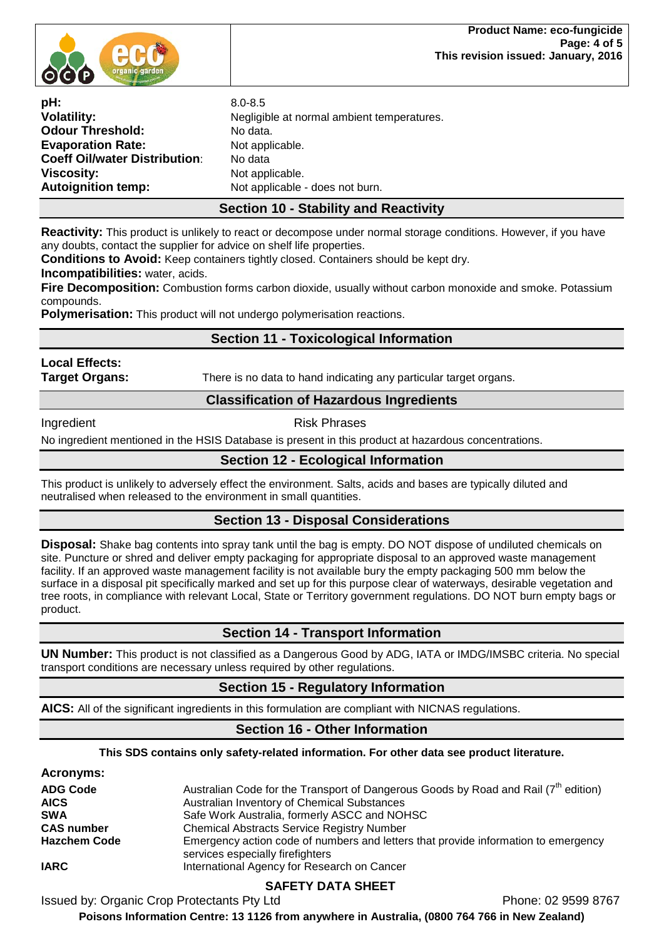

**Evaporation Rate:** 

**pH:** 8.0-8.5 Negligible at normal ambient temperatures. **Odour Threshold:** No data.<br> **Evaporation Rate:** Not applicable. **Coeff Oil/water Distribution**: No data<br>**Viscosity:** Not app **Viscosity:** Not applicable.<br> **Autoignition temp:** Not applicable Not applicable Not applicable - does not burn.

## **Section 10 - Stability and Reactivity**

**Reactivity:** This product is unlikely to react or decompose under normal storage conditions. However, if you have any doubts, contact the supplier for advice on shelf life properties.

**Conditions to Avoid:** Keep containers tightly closed. Containers should be kept dry.

**Incompatibilities:** water, acids.

**Fire Decomposition:** Combustion forms carbon dioxide, usually without carbon monoxide and smoke. Potassium compounds.

**Polymerisation:** This product will not undergo polymerisation reactions.

## **Section 11 - Toxicological Information**

**Local Effects:** 

**Target Organs:** There is no data to hand indicating any particular target organs.

### **Classification of Hazardous Ingredients**

### Ingredient **Risk Phrases**

No ingredient mentioned in the HSIS Database is present in this product at hazardous concentrations.

## **Section 12 - Ecological Information**

This product is unlikely to adversely effect the environment. Salts, acids and bases are typically diluted and neutralised when released to the environment in small quantities.

## **Section 13 - Disposal Considerations**

**Disposal:** Shake bag contents into spray tank until the bag is empty. DO NOT dispose of undiluted chemicals on site. Puncture or shred and deliver empty packaging for appropriate disposal to an approved waste management facility. If an approved waste management facility is not available bury the empty packaging 500 mm below the surface in a disposal pit specifically marked and set up for this purpose clear of waterways, desirable vegetation and tree roots, in compliance with relevant Local, State or Territory government regulations. DO NOT burn empty bags or product.

## **Section 14 - Transport Information**

**UN Number:** This product is not classified as a Dangerous Good by ADG, IATA or IMDG/IMSBC criteria. No special transport conditions are necessary unless required by other regulations.

## **Section 15 - Regulatory Information**

**AICS:** All of the significant ingredients in this formulation are compliant with NICNAS regulations.

## **Section 16 - Other Information**

#### **This SDS contains only safety-related information. For other data see product literature.**

#### **Acronyms:**

| <b>ADG Code</b>     | Australian Code for the Transport of Dangerous Goods by Road and Rail $(7th$ edition)                                  |
|---------------------|------------------------------------------------------------------------------------------------------------------------|
| <b>AICS</b>         | Australian Inventory of Chemical Substances                                                                            |
| <b>SWA</b>          | Safe Work Australia, formerly ASCC and NOHSC                                                                           |
| <b>CAS number</b>   | <b>Chemical Abstracts Service Registry Number</b>                                                                      |
| <b>Hazchem Code</b> | Emergency action code of numbers and letters that provide information to emergency<br>services especially firefighters |
| <b>IARC</b>         | International Agency for Research on Cancer                                                                            |

## **SAFETY DATA SHEET**

Issued by: Organic Crop Protectants Pty Ltd **Phone: 02 9599 8767** 

**Poisons Information Centre: 13 1126 from anywhere in Australia, (0800 764 766 in New Zealand)**